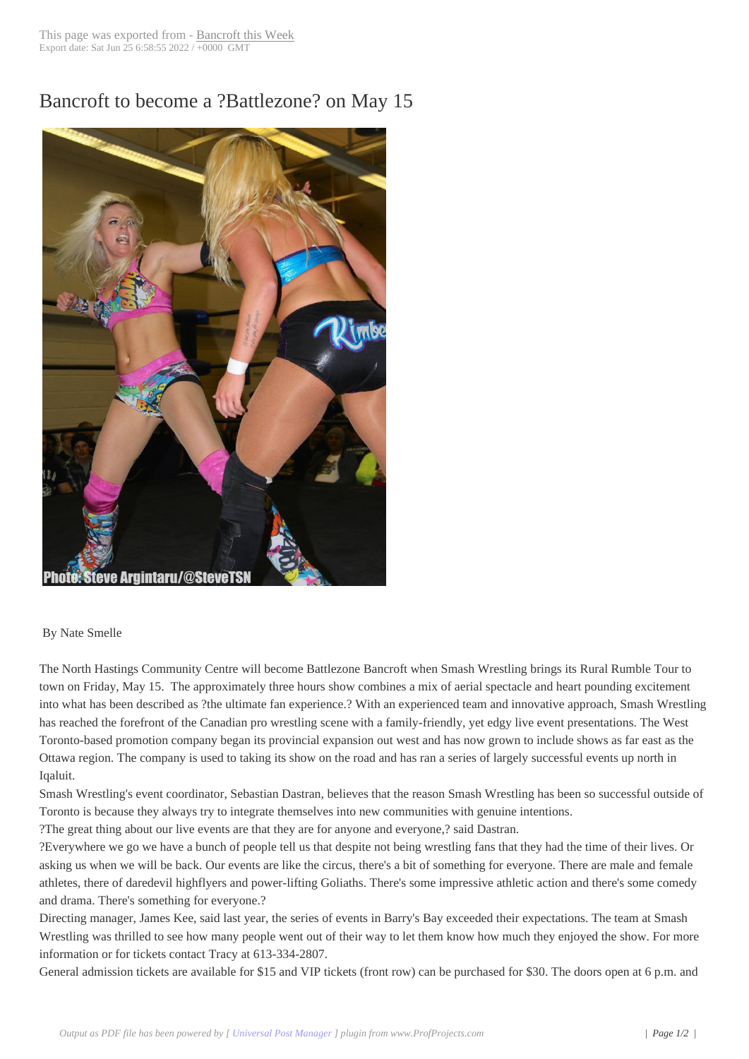## Bancroft to becom[e a ?Battlezon](http://www.bancroftthisweek.com/?p=4509)e? on May 15



## By Nate Smelle

The North Hastings Community Centre will become Battlezone Bancroft when Smash Wrestling brings its Rural Rumble Tour to town on Friday, May 15. The approximately three hours show combines a mix of aerial spectacle and heart pounding excitement into what has been described as ?the ultimate fan experience.? With an experienced team and innovative approach, Smash Wrestling has reached the forefront of the Canadian pro wrestling scene with a family-friendly, yet edgy live event presentations. The West Toronto-based promotion company began its provincial expansion out west and has now grown to include shows as far east as the Ottawa region. The company is used to taking its show on the road and has ran a series of largely successful events up north in Iqaluit.

Smash Wrestling's event coordinator, Sebastian Dastran, believes that the reason Smash Wrestling has been so successful outside of Toronto is because they always try to integrate themselves into new communities with genuine intentions.

?The great thing about our live events are that they are for anyone and everyone,? said Dastran.

?Everywhere we go we have a bunch of people tell us that despite not being wrestling fans that they had the time of their lives. Or asking us when we will be back. Our events are like the circus, there's a bit of something for everyone. There are male and female athletes, there of daredevil highflyers and power-lifting Goliaths. There's some impressive athletic action and there's some comedy and drama. There's something for everyone.?

Directing manager, James Kee, said last year, the series of events in Barry's Bay exceeded their expectations. The team at Smash Wrestling was thrilled to see how many people went out of their way to let them know how much they enjoyed the show. For more information or for tickets contact Tracy at 613-334-2807.

General admission tickets are available for \$15 and VIP tickets (front row) can be purchased for \$30. The doors open at 6 p.m. and